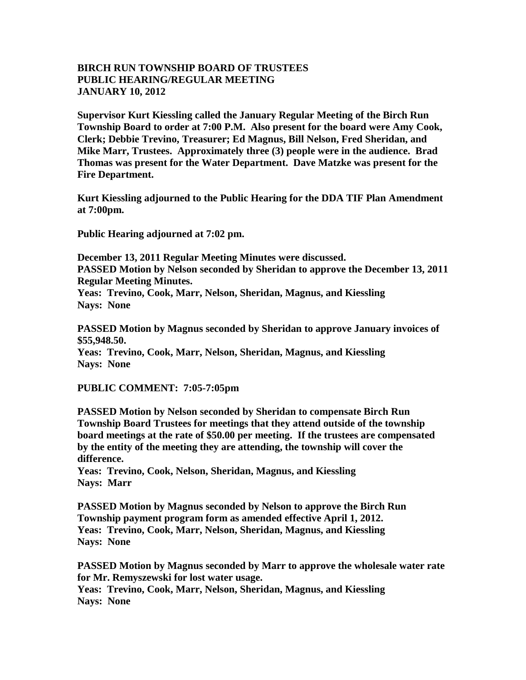## **BIRCH RUN TOWNSHIP BOARD OF TRUSTEES PUBLIC HEARING/REGULAR MEETING JANUARY 10, 2012**

**Supervisor Kurt Kiessling called the January Regular Meeting of the Birch Run Township Board to order at 7:00 P.M. Also present for the board were Amy Cook, Clerk; Debbie Trevino, Treasurer; Ed Magnus, Bill Nelson, Fred Sheridan, and Mike Marr, Trustees. Approximately three (3) people were in the audience. Brad Thomas was present for the Water Department. Dave Matzke was present for the Fire Department.** 

**Kurt Kiessling adjourned to the Public Hearing for the DDA TIF Plan Amendment at 7:00pm.** 

**Public Hearing adjourned at 7:02 pm.**

**December 13, 2011 Regular Meeting Minutes were discussed. PASSED Motion by Nelson seconded by Sheridan to approve the December 13, 2011 Regular Meeting Minutes. Yeas: Trevino, Cook, Marr, Nelson, Sheridan, Magnus, and Kiessling Nays: None** 

**PASSED Motion by Magnus seconded by Sheridan to approve January invoices of \$55,948.50.**

**Yeas: Trevino, Cook, Marr, Nelson, Sheridan, Magnus, and Kiessling Nays: None** 

## **PUBLIC COMMENT: 7:05-7:05pm**

**PASSED Motion by Nelson seconded by Sheridan to compensate Birch Run Township Board Trustees for meetings that they attend outside of the township board meetings at the rate of \$50.00 per meeting. If the trustees are compensated by the entity of the meeting they are attending, the township will cover the difference.**

**Yeas: Trevino, Cook, Nelson, Sheridan, Magnus, and Kiessling Nays: Marr**

**PASSED Motion by Magnus seconded by Nelson to approve the Birch Run Township payment program form as amended effective April 1, 2012. Yeas: Trevino, Cook, Marr, Nelson, Sheridan, Magnus, and Kiessling Nays: None** 

**PASSED Motion by Magnus seconded by Marr to approve the wholesale water rate for Mr. Remyszewski for lost water usage.**

**Yeas: Trevino, Cook, Marr, Nelson, Sheridan, Magnus, and Kiessling Nays: None**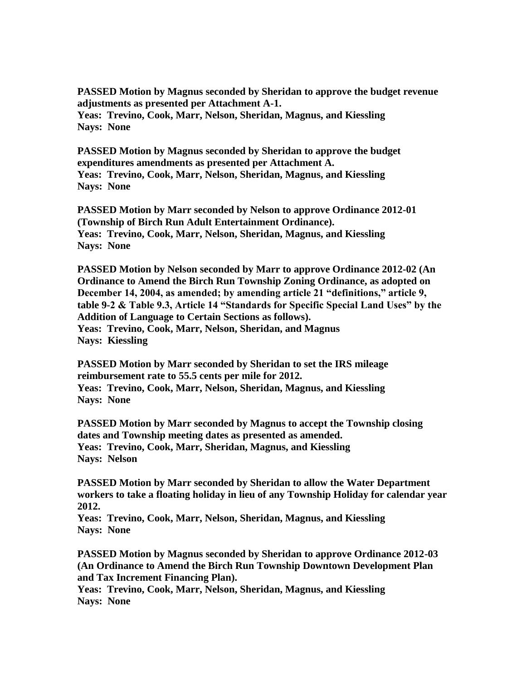**PASSED Motion by Magnus seconded by Sheridan to approve the budget revenue adjustments as presented per Attachment A-1.**

**Yeas: Trevino, Cook, Marr, Nelson, Sheridan, Magnus, and Kiessling Nays: None** 

**PASSED Motion by Magnus seconded by Sheridan to approve the budget expenditures amendments as presented per Attachment A. Yeas: Trevino, Cook, Marr, Nelson, Sheridan, Magnus, and Kiessling Nays: None**

**PASSED Motion by Marr seconded by Nelson to approve Ordinance 2012-01 (Township of Birch Run Adult Entertainment Ordinance). Yeas: Trevino, Cook, Marr, Nelson, Sheridan, Magnus, and Kiessling Nays: None**

**PASSED Motion by Nelson seconded by Marr to approve Ordinance 2012-02 (An Ordinance to Amend the Birch Run Township Zoning Ordinance, as adopted on December 14, 2004, as amended; by amending article 21 "definitions," article 9, table 9-2 & Table 9.3, Article 14 "Standards for Specific Special Land Uses" by the Addition of Language to Certain Sections as follows). Yeas: Trevino, Cook, Marr, Nelson, Sheridan, and Magnus Nays: Kiessling**

**PASSED Motion by Marr seconded by Sheridan to set the IRS mileage reimbursement rate to 55.5 cents per mile for 2012. Yeas: Trevino, Cook, Marr, Nelson, Sheridan, Magnus, and Kiessling Nays: None**

**PASSED Motion by Marr seconded by Magnus to accept the Township closing dates and Township meeting dates as presented as amended. Yeas: Trevino, Cook, Marr, Sheridan, Magnus, and Kiessling Nays: Nelson**

**PASSED Motion by Marr seconded by Sheridan to allow the Water Department workers to take a floating holiday in lieu of any Township Holiday for calendar year 2012.** 

**Yeas: Trevino, Cook, Marr, Nelson, Sheridan, Magnus, and Kiessling Nays: None**

**PASSED Motion by Magnus seconded by Sheridan to approve Ordinance 2012-03 (An Ordinance to Amend the Birch Run Township Downtown Development Plan and Tax Increment Financing Plan).**

**Yeas: Trevino, Cook, Marr, Nelson, Sheridan, Magnus, and Kiessling Nays: None**